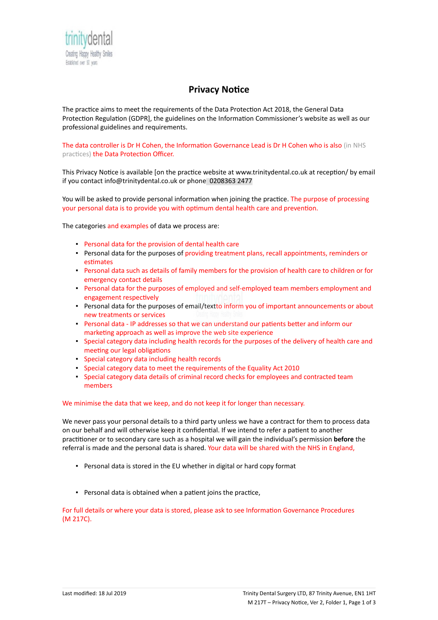

## **Privacy Notice**

The practice aims to meet the requirements of the Data Protection Act 2018, the General Data Protection Regulation (GDPR], the guidelines on the Information Commissioner's website as well as our professional guidelines and requirements.

The data controller is Dr H Cohen, the Information Governance Lead is Dr H Cohen who is also (in NHS practices) the Data Protection Officer.

This Privacy Notice is available [on the practice website at www.trinitydental.co.uk at reception/ by email if you contact info@trinitydental.co.uk or phone 0208363 2477

You will be asked to provide personal information when joining the practice. The purpose of processing your personal data is to provide you with optimum dental health care and prevention.

The categories and examples of data we process are:

- Personal data for the provision of dental health care
- **·** Personal data for the purposes of providing treatment plans, recall appointments, reminders or estimates
- Personal data such as details of family members for the provision of health care to children or for emergency contact details
- Personal data for the purposes of employed and self-employed team members employment and engagement respectively
- **Personal data for the purposes of email/textto inform you of important announcements or about** new treatments or services
- Personal data IP addresses so that we can understand our patients better and inform our marketing approach as well as improve the web site experience
- Special category data including health records for the purposes of the delivery of health care and meeting our legal obligations
- Special category data including health records
- Special category data to meet the requirements of the Equality Act 2010
- Special category data details of criminal record checks for employees and contracted team members

## We minimise the data that we keep, and do not keep it for longer than necessary.

We never pass your personal details to a third party unless we have a contract for them to process data on our behalf and will otherwise keep it confidential. If we intend to refer a patient to another practitioner or to secondary care such as a hospital we will gain the individual's permission **before** the referral is made and the personal data is shared. Your data will be shared with the NHS in England,

- Personal data is stored in the EU whether in digital or hard copy format
- Personal data is obtained when a patient joins the practice,

For full details or where your data is stored, please ask to see Information Governance Procedures (M 217C).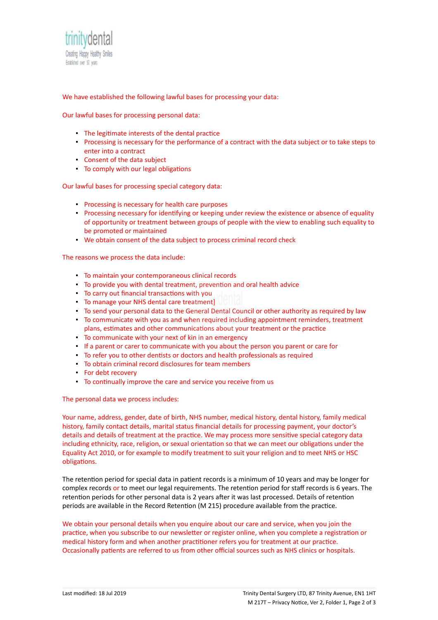

We have established the following lawful bases for processing your data:

Our lawful bases for processing personal data:

- The legitimate interests of the dental practice
- Processing is necessary for the performance of a contract with the data subject or to take steps to enter into a contract
- Consent of the data subject
- To comply with our legal obligations

Our lawful bases for processing special category data:

- Processing is necessary for health care purposes
- **Processing necessary for identifying or keeping under review the existence or absence of equality** of opportunity or treatment between groups of people with the view to enabling such equality to be promoted or maintained
- We obtain consent of the data subject to process criminal record check

The reasons we process the data include:

- To maintain your contemporaneous clinical records
- To provide you with dental treatment, prevention and oral health advice
- To carry out financial transactions with you
- To manage your NHS dental care treatment]
- To send your personal data to the General Dental Council or other authority as required by law
- To communicate with you as and when required including appointment reminders, treatment plans, estimates and other communications about your treatment or the practice
- To communicate with your next of kin in an emergency
- **.** If a parent or carer to communicate with you about the person you parent or care for
- To refer you to other dentists or doctors and health professionals as required
- To obtain criminal record disclosures for team members
- For debt recovery
- To continually improve the care and service you receive from us

The personal data we process includes:

Your name, address, gender, date of birth, NHS number, medical history, dental history, family medical history, family contact details, marital status financial details for processing payment, your doctor's details and details of treatment at the practice. We may process more sensitive special category data including ethnicity, race, religion, or sexual orientation so that we can meet our obligations under the Equality Act 2010, or for example to modify treatment to suit your religion and to meet NHS or HSC obligations.

The retention period for special data in patient records is a minimum of 10 years and may be longer for complex records or to meet our legal requirements. The retention period for staff records is 6 years. The retention periods for other personal data is 2 years after it was last processed. Details of retention periods are available in the Record Retention (M 215) procedure available from the practice.

We obtain your personal details when you enquire about our care and service, when you join the practice, when you subscribe to our newsletter or register online, when you complete a registration or medical history form and when another practitioner refers you for treatment at our practice. Occasionally patients are referred to us from other official sources such as NHS clinics or hospitals.